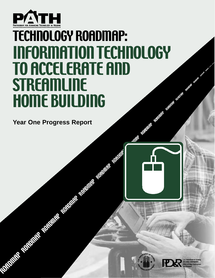

# TECHNOLOGY ROADMAP: INFORMATION TECHNOLOGY TO ACCELERATE AND **STREAMLINE ANY ROWSELL REPORTER** HOME BUILDING

**Year One Progress Report** 

PARTIES & CALIFORNIA ROBERT RESIDENCE AND RESIDENCE AND RESIDENCE AND RESIDENCE AND RESIDENCE AND RESIDENCE AND RESIDENCE AND RESIDENCE AND RESIDENCE AND RESIDENCE AND RESIDENCE AND RESIDENCE AND RESIDENCE AND RESIDENCE AN



**ROMANIAR**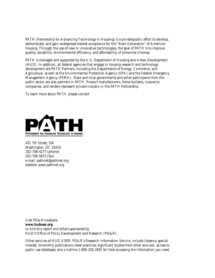PATH (Partnership for Advancing Technology in Housing) is a private/public effort to develop, demonstrate, and gain widespread market acceptance for the "Next Generation" of American housing. Through the use of new or innovative technologies, the goal of PATH is to improve quality, durability, environmental efficiency, and affordability of tomorrow's homes.

PATH is managed and supported by the U.S. Department of Housing and Urban Development (HUD). In addition, all federal agencies that engage in housing research and technology development are PATH Partners, including the Departments of Energy, Commerce, and Agriculture, as well as the Environmental Protection Agency (EPA) and the Federal Emergency Management Agency (FEMA). State and local governments and other participants from the public sector are also partners in PATH. Product manufacturers, home builders, insurance companies, and lenders represent private industry in the PATH Partnership.

To learn more about PATH, please contact



451 7th Street, SW Washington, DC 20410 202-708-4277 (phone) 202-708-5873 (fax) e-mail: pathnet@pathnet.org website: www.pathnet.org

Visit PD&R's website **www.huduser.org**  to find this report and others sponsored by HUD's Office of Policy Development and Research (PD&R).

Other services of HUD USER, PD&R's Research Information Service, include listservs; special interest, bimonthly publications (best practices, significant studies from other sources); access to public use databases; and a hotline 1-800-245-2691 for help accessing the information you need.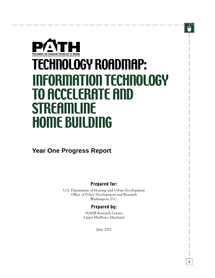

# TECHNOLOGY ROADMAP: INFORMATION TECHNOLOGY TO ACCELERATE AND STREAML INF HOME BUILDING

# **Year One Progress Report**

**Prepared for:** 

U.S. Department of Housing and Urban Development Office of Policy Development and Research Washington, D.C.

#### Prepared by:

NAHB Research Center Upper Marlboro, Maryland

June 2002

Ĭ.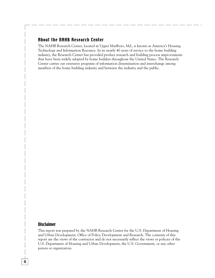#### **About the NAHB Research Center**

The NAHB Research Center, located in Upper Marlboro, Md., is known as America's Housing Technology and Information Resource. In its nearly 40 years of service to the home building industry, the Research Center has provided product research and building process improvements that have been widely adopted by home builders throughout the United States. The Research Center carries out extensive programs of information dissemination and interchange among members of the home building industry and between the industry and the public.

#### **Disclaimer**

This report was prepared by the NAHB Research Center for the U.S. Department of Housing and Urban Development, Office of Policy Development and Research. The contents of this report are the views of the contractor and do not necessarily reflect the views or policies of the U.S. Department of Housing and Urban Development, the U.S. Government, or any other person or organization.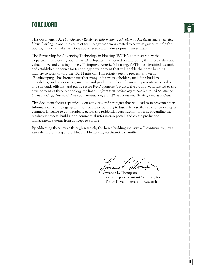# FOREWORD

í

This document, *PATH Technology Roadmap: Information Technology to Accelerate and Streamline Home Building*, is one in a series of technology roadmaps created to serve as guides to help the housing industry make decisions about research and development investments.

The Partnership for Advancing Technology in Housing (PATH), administered by the Department of Housing and Urban Development, is focused on improving the affordability and value of new and existing homes. To improve America's housing, PATH has identified research and established priorities for technology development that will enable the home building industry to work toward the PATH mission. This priority setting process, known as "Roadmapping," has brought together many industry stakeholders, including builders, remodelers, trade contractors, material and product suppliers, financial representatives, codes and standards officials, and public sector R&D sponsors. To date, the group's work has led to the development of three technology roadmaps: *Information Technology to Accelerate and Streamline Home Building*, *Advanced Panelized Construction*, and *Whole House and Building Process Redesign*.

This document focuses specifically on activities and strategies that will lead to improvements in Information Technology systems for the home building industry. It describes a need to develop a common language to communicate across the residential construction process, streamline the regulatory process, build a non-commercial information portal, and create production management systems from concept to closure.

By addressing these issues through research, the home building industry will continue to play a key role in providing affordable, durable housing for America's families.

Lawrence L. Thompson General Deputy Assistant Secretary for Policy Development and Research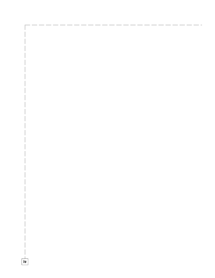$\overline{10}$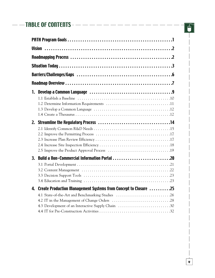# TABLE OF CONTENTS

| <b>Uision</b> |                                                                                                       |  |  |
|---------------|-------------------------------------------------------------------------------------------------------|--|--|
|               |                                                                                                       |  |  |
|               |                                                                                                       |  |  |
|               |                                                                                                       |  |  |
|               |                                                                                                       |  |  |
| 1.            |                                                                                                       |  |  |
|               |                                                                                                       |  |  |
| 2.            |                                                                                                       |  |  |
|               |                                                                                                       |  |  |
| 3.            |                                                                                                       |  |  |
|               |                                                                                                       |  |  |
| 4.            | Create Production Management Systems from Concept to Closure 25                                       |  |  |
|               | 4.1 State-of-the-Art and Benchmarking Studies 26<br>4.3 Development of an Interactive Supply Chain 30 |  |  |
|               |                                                                                                       |  |  |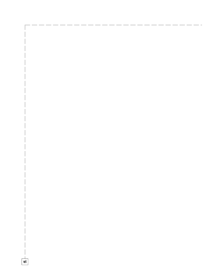$\overline{v}$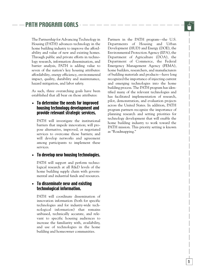#### PATH PROGRAM GOALS  $\overline{a}$

The Partnership for Advancing Technology in Housing (PATH) advances technology in the home building industry to improve the affordability and value of new and existing homes. Through public and private efforts in technology research, information dissemination, and barrier analysis, PATH is adding value to seven of the nation's key housing attributes: affordability, energy efficiency, environmental impact, quality, durability and maintenance, hazard mitigation, and labor safety.

As such, three overarching goals have been established that all bear on those attributes:

#### • To determine the needs for improved housing technology development and provide relevant strategic services.

 will develop networks and agreement PATH will investigate the institutional barriers that impede innovation; will propose alternative, improved, or negotiated services to overcome those barriers; and among participants to implement these services.

#### • To develop new housing technologies.

PATH will support and perform technological research at all R&D levels of the home building supply chain with governmental and industrial funds and resources.

#### • To disseminate new and existing technological information.

 nological information) that remains vant to specific housing audiences to and use of technologies in the home PATH will coordinate dissemination of innovation information (both for specific technologies and for industry-wide techunbiased, technically accurate, and releincrease the familiarity with, availability, building and homeowner communities.

 Departments of Housing and Urban Department of Agriculture (DOA), the Partners in the PATH program—the U.S. Development (HUD) and Energy (DOE), the Environmental Protection Agency (EPA), the Department of Commerce, the Federal Emergency Management Agency (FEMA), home builders, researchers, and manufacturers of building materials and products—have long recognized the importance of injecting current and emerging technologies into the home building process. The PATH program has identified many of the relevant technologies and has facilitated implementation of research, pilot, demonstration, and evaluation projects across the United States. In addition, PATH program partners recognize the importance of planning research and setting priorities for technology development that will enable the home building industry to work toward the PATH mission. This priority setting is known as "Roadmapping."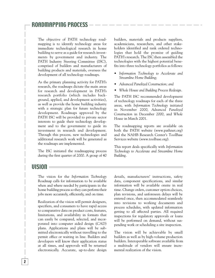### ROADMAPPING PROCESS

 The objective of PATH technology road- ments by government and industry. The mapping is to identify technology areas for immediate technological research in home building to serve as a guide for research invest-PATH Industry Steering Committee (ISC), comprised of builders and manufacturers of building products and materials, oversees the development of all technology roadmaps.

for research and development in PATH's research portfolio (which includes back- development. Roadmaps approved by the investment in research and development. As the primary planning activity for PATH's research, the roadmaps dictate the main areas ground, applied, and development activities), as well as provide the home building industry with a strategic plan for future technology PATH ISC will be provided to private sector interests to guide their technology development and to the government to guide its Through this process, new technologies and additional research work will be generated as the roadmaps are implemented.

The ISC initiated the roadmapping process during the first quarter of 2000. A group of 40

 logies that hold the promise of guiding builders, materials and products suppliers, academicians, researchers, and other stakeholders identified and rank ordered techno-PATH's research. The ISC then assembled the technologies with the highest potential benefits into three technology portfolios as follows:

- Information Technology to Accelerate and *Streamline Home Building;*
- *• Advanced Panelized Construction; and*
- *• Whole House and Building Process Redesign.*

 in November 2000, *Advanced Panelized*  The PATH ISC recommended development of technology roadmaps for each of the three areas, with *Information Technology* initiated *Construction* in December 2000, and *Whole House* in March 2001.

The roadmapping reports are available on both the PATH website (www.pathnet.org) and the NAHB Research Center's ToolBase Services website (www.toolbase.org).

This report deals specifically with *Information Technology to Accelerate and Streamline Home Building*.

## VISION

 Roadmap calls for information to be available when and where needed by participants in the home building process so they can perform their The vision for the *Information Technology* jobs more accurately, efficiently, and on time.

electronically. Accurate, up-to-date design Realization of the vision will permit designers, specifiers, and consumers to have rapid access to comparative data on product costs, features, limitations, and availability in formats that can easily be compared, selected, and incorporated into computer aided design (CAD) plans. Applications and plans will be submitted electronically without travelling to the permit office or waiting in line. Builders and developers will know their application status at all times, and approvals will be returned

 into revisions to working documents and details, manufacturers' instructions, safety data, component specifications, and similar information will be available onsite in real time. Change orders, customer option choices, plan revisions, and unforeseen delays will be entered once, then accommodated seamlessly process schedules, with updated information getting to all affected parties. All required inspections for regulatory approvals or loans will be performed on demand, without suspending work or scheduling a site inspection.

 The vision will be achievable by small a multitude of vendors will ensure increbuilders as well as by high-volume production builders. Interoperable software available from mental realization of the vision.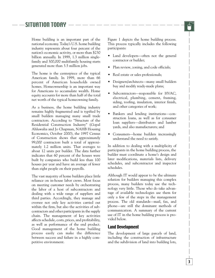## SITUATION TODAY

 Home building is an important part of the national economy. Today's U.S. home building industry represents about four percent of the nation's economic activity, or more than \$230 billion annually. In 1999, 1.3 million singlefamily and 300,000 multifamily housing starts generated more than 3.5 million jobs.

 $\begin{array}{c} \begin{array}{c} \begin{array}{c} \end{array} \end{array} \end{array}$ 

 American family. In 1999, more than 66 The home is the centerpiece of the typical percent of American households owned homes. Homeownership is an important way for Americans to accumulate wealth. Home equity accounts for more than half of the total net worth of the typical homeowning family.

As a business, the home building industry remains highly fragmented and is typified by small builders managing many small trade contractors. According to "Structure of the Residential Construction Industry" (Gopal Ahluwalia and Jo Chapman, NAHB Housing Economics, October 2000), the 1997 Census of Construction shows that approximately 99,000 contractors built a total of approximately 1.2 million units. That averages to about 12 units per builder. The data further indicates that 60 percent of the houses were built by companies who build less than 100 houses per year and have an average of fewer than eight people on their payrolls.

 contractors and other participants in the supply process easily can make the difference The vast majority of home builders place little reliance on in-house labor crews. Most focus on meeting customer needs by orchestrating the labor of a host of subcontractors and dealing with a wide range of suppliers and third parties. Accordingly, they manage and oversee not only key activities carried out within the firm, but also the activities of subchain. The management of key activities affects schedule, costs, prices, and profitability, as well as performance of the end product. Good management of the home building between success and failure in a highly competitive environment.

Figure 1 depicts the home building process. This process typically includes the following participants:

- Land developers—often not the general contractor or builder;
- Plan review, zoning, and code officials;
- Real estate or sales professionals;
- Designers/architects—many small builders buy and modify ready-made plans;
- electrical, plumbing, cement, framing, • Subcontractors—responsible for HVAC, siding, roofing, insulation, interior finish, and other categories of work;
- • Bankers and lending institutions—construction loans, as well as for consumer loan suppliers—distributors and lumber yards, and also manufacturers; and
- Consumers—home builders increasingly understand the need to satisfy.

In addition to dealing with a multiplicity of participants in the home building process, the builder must coordinate a home's design and later modifications, materials lists, delivery schedules, and subcontractor and inspector schedules.

Although IT would appear to be the ultimate solution for builders managing this complex process, many builders today use the technology very little. Those who do take advantage of available technologies use them for only a few of the steps in the management process. The old standards—mail, fax, and phone—are still the dominant methods of communication. A summary of the current use of IT in the home building process is provided below.

#### Land Development

The development of large parcels of land, including the construction of infrastructure and the subdivision of land into building lots,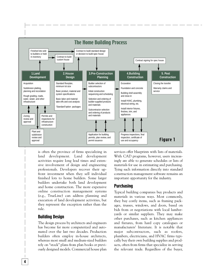

 land development. Land development is often the province of firms specializing in activities require long lead times and extensive involvement of design and engineering professionals. Developers recover their upfront investment when they sell individual finished lots to home builders. Some larger builders undertake both land development and home construction. The more expensive online construction management systems (e.g., TrueLine) can address planning and execution of land development activities, but they represent the exception rather than the rule.

#### Building Design

 has become far more computerized and auto-The design process by architects and engineers mated over the last two decades. Production builders often employ in-house architects, whereas most small and medium-sized builders rely on "stock" plans from plan books or previously designed models. Commercial house plan

 With CAD programs, however, users increasservices offer blueprints with lists of materials. ingly are able to generate schedules or lists of materials for use in estimating and purchasing. Tying such information directly into standard construction management software remains an important opportunity for the industry.

#### Purchasing

 Typical building companies buy products and they buy costly items, such as framing pack- bids from or negotiations with local lumber- yards or similar suppliers. They may make manufacturers' literature. It is notable that plumbers, electricians, and HVAC firms typi- cally buy their own building supplies and prod- ucts, often from firms that specialize in serving materials in various ways. Most commonly, ages, trusses, windows, and doors, based on other purchases, such as kitchen appliances and fixtures, from hard copy catalogues or major subcontractors, such as roofers, the relevant trade. Regardless of the buyer,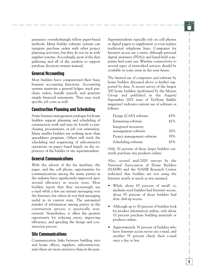methods. Many builder software systems can integrate purchase orders with other project gathering and all of the analysis to support payments overwhelmingly follow paper-based planning activities, but they do not tie in with supplier systems. Accordingly, most of the data purchase decisions remain manual.

#### General Accounting

Most builders have computerized their basic business accounting functions. Accounting systems maintain a general ledger, track purchase orders, handle payroll, and generate simple financial statements. They may track specific job costs as well.

#### Construction Planning and Scheduling

 builders support planning and scheduling of Many smaller builders use nothing more than scheduling and sequencing of subcontractor Some business management packages for home construction work and may tie loosely to purchasing, procurement, or job cost estimation. spreadsheet programs. Others still track the operations on paper, based largely on the experience of the builder or site superintendent.

#### General Communications

 ational efficiency in recent years. Most builders report that they increasingly use construction process is practically non-With the advent of the fax machine, the pager, and the cell phone, opportunities for communications among the many parties in the industry have significantly improved opere-mail while a few use instant messaging over the Internet, but others do not find messaging useful in its current state. The automated transfer of information among parties in the existent. Nonetheless, it offers the greatest opportunity for reducing errors, improving efficiency, and speeding the design and construction process.

#### Site Communications

 and others are more extensive than in the past. Communication links between building sites and home offices, suppliers, subcontractors,

 or digital pagers to supplement or even replace traditional telephone lines. Computers for Internet access are a rarity, although personal Superintendents typically rely on cell phones digital assistants (PDAs) and hand-held computers find some use. Wireless connectivity to several types of networked services should be available in some areas in the near future.

 Group and published in the August/ The limited use of computers and software by home builders discussed above is further supported by data. A recent survey of the largest 300 home builders (performed by the Meyers September 2001 issue of *TecHome Builder*  magazine) indicates current use of software as follows:

| Design (CAD) software       | 43% |  |
|-----------------------------|-----|--|
| Estimating software         | 41% |  |
| Integrated inventory        |     |  |
| management software         | 26% |  |
| Project management software | 39% |  |
| Scheduling software         | 43% |  |

Only 30 percent of these larger builders currently purchase any products online.

 Also, several mid-2000 surveys by the National Association of Home Builders (NAHB) and the NAHB Research Center indicated that builders are not using the Internet nearly as much as was assumed.

- While about 85 percent of small- to medium-sized builders had Internet access, about 85 percent of those builders had slow, dial-up access.
- Although up to 50 percent of builders look for product information online, only about 10 percent purchase building materials or products online.
- Approximately 30 percent of builders who have Internet access never use e-mail, and another 35 percent check their e-mail once a day or less.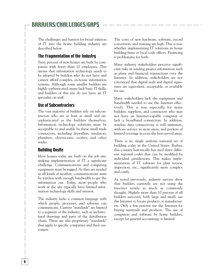## BARRIERS/CHALLENGES/GAPS

The challenges and barriers for broad infusion of IT into the home building industry are described below.

#### The Fragmentation of the Industry

Sixty percent of new homes are built by companies with fewer than 10 employees. This means that information technology needs to be adopted by builders who do not have and cannot afford complex, in-house information systems. Although some smaller builders are highly sophisticated, many lack basic IT skills, and builders of this size do not have an IT specialist on staff.

#### Use of Subcontractors

 sophisticated as the builders themselves. plumbers, electricians, roofers, and other The vast majority of builders rely on subcontractors who are at least as small and un-Information technology solutions must be acceptable to and usable by these small trade contractors, including drywallers, insulators, trades.

#### Building Onsite

Most houses today are built on the job site, making implementation of IT a significant challenge. Communications and computing equipment must be rugged. As they are needed in all kinds of weather, communications must be wireless with enough bandwidth to get the information out. Today, most people who work at the site typically have limited information technology skills and interest.

The industry lacks a common language with which people, processes, and software can communicate. Current "standards" are limited to a segment of the industry, such as architectural drawings and parts of the distribution chain. There are also proprietary "standards" that apply to specific companies and their customers.

The costs of new hardware, software, record conversion, and training are high. This is true whether implementing IT solutions in home building firms or local code offices. Financing is problematic for both.

Many industry stakeholders perceive significant risks in sending project information such as plans and financial transactions over the Internet. In addition, stakeholders are not convinced that digital seals and digital signatures are equivalent, acceptable, or available for use.

tively. This is true especially for many Many stakeholders lack the equipment and bandwidth needed to use the Internet effecbuilders, suppliers, and contractors who may not have an Internet-capable computer or lack a broadband connection. In addition, wireless data connectivity is still immature, with no service in most areas, and pockets of limited coverage in even the best-served areas.

There is no single uniform national set of building codes in the United States. Rather, this country historically has used three different regional codes that can be modified by individual jurisdictions. This makes implementation of IT software for plan review, inspection, etc., significantly more complex and costly.

 that builders currently are not using the Internet nearly as much as commonly As noted previously, industry surveys show thought. Slightly more than 10 percent of all builders surveyed, both large and small, use the Internet to locate products or manufacturers. Only a few percent use the Internet for buying materials and products. The use of computers and software by home builders, except for general accounting, is limited.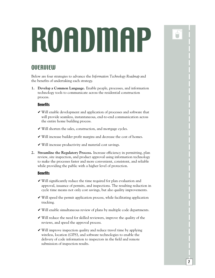# ROADINAP

# **OVERVIEW**

Below are four strategies to advance the *Information Technology Roadmap* and the benefits of undertaking each strategy.

**1. Develop a Common Language.** Enable people, processes, and information technology tools to communicate across the residential construction process.

#### **Benefits**

- $\vee$  Will enable development and application of processes and software that will provide seamless, instantaneous, end-to-end communication across the entire home building process.
- $\vee$  Will shorten the sales, construction, and mortgage cycles.
- ✔ Will increase builder profit margins and decrease the cost of homes.
- $\checkmark$  Will increase productivity and material cost savings.
- **2. Streamline the Regulatory Process.** Increase efficiency in permitting, plan review, site inspection, and product approval using information technology to make the processes faster and more convenient, consistent, and reliable while providing the public with a higher level of protection.

#### **Benefits**

- $\vee$  Will significantly reduce the time required for plan evaluation and approval, issuance of permits, and inspections. The resulting reduction in cycle time means not only cost savings, but also quality improvements.
- $\vee$  Will speed the permit application process, while facilitating application tracking.
- $\checkmark$  Will enable simultaneous review of plans by multiple code departments.
- ✔ Will reduce the need for skilled reviewers, improve the quality of the reviews, and speed the approval process.
- $\vee$  Will improve inspection quality and reduce travel time by applying wireless, location (GPS), and software technologies to enable the delivery of code information to inspectors in the field and remote submission of inspection results.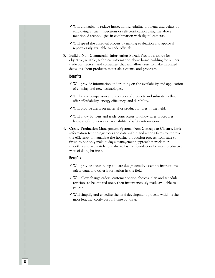- $\vee$  Will dramatically reduce inspection scheduling problems and delays by employing virtual inspections or self-certification using the above mentioned technologies in combination with digital cameras.
- $\vee$  Will speed the approval process by making evaluation and approval reports easily available to code officials.
- **3. Build a Non-Commercial Information Portal.** Provide a source for objective, reliable, technical information about home building for builders, trade contractors, and consumers that will allow users to make informed decisions about products, materials, systems, and processes.

#### **Benefits**

- $\vee$  Will provide information and training on the availability and application of existing and new technologies.
- ✔ Will allow comparison and selection of products and subsystems that offer affordability, energy efficiency, and durability.
- ✔ Will provide alerts on material or product failures in the field.
- ✔ Will allow builders and trade contractors to follow safer procedures because of the increased availability of safety information.
- **4. Create Production Management Systems from Concept to Closure.** Link information technology tools and data within and among firms to improve the efficiency of managing the housing production process from start to finish to not only make today's management approaches work more smoothly and accurately, but also to lay the foundation for more productive ways of doing business.

#### Benefits

- $\vee$  Will provide accurate, up-to-date design details, assembly instructions, safety data, and other information in the field.
- ✔ Will allow change orders, customer option choices, plan and schedule revisions to be entered once, then instantaneously made available to all parties.
- $\checkmark$  Will simplify and expedite the land development process, which is the most lengthy, costly part of home building.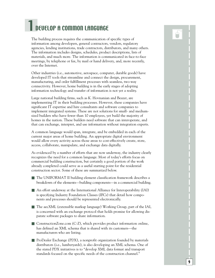# 1 DEVELOP A COMMON LANGUAGE

The building process requires the communication of specific types of information among developers, general contractors, vendors, regulatory agencies, lending institutions, trade contractors, distributors, and many others. The information includes designs, schedules, product descriptions, lists of materials, and much more. The information is communicated in face-to-face meetings, by telephone or fax, by mail or hand delivery, and, more recently, over the Internet.

Other industries (i.e., automotive, aerospace, computer, durable goods) have developed IT tools that streamline and connect the design, procurement, manufacturing, and order fulfillment processes with seamless, two-way connectivity. However, home building is in the early stages of adopting information technology and transfer of information is not yet a reality.

Large national building firms, such as K. Hovnanian and Beazer, are implementing IT in their building processes. However, these companies have significant IT expertise and hire consultants and software companies to implement integrated systems. These are not solutions for small- and mediumsized builders who have fewer than 10 employees, yet build the majority of homes in the nation. These builders need software that can interoperate, and that can exchange, interpret, and use information without integration experts.

A common language would span, integrate, and be embedded in each of the current major areas of home building. An appropriate digital environment would allow every activity across those areas to cost-effectively create, store, access, collaborate, manipulate, and exchange data digitally.

As evidenced by a number of efforts that are now underway, the industry clearly recognizes the need for a common language. Most of today's efforts focus on commercial building construction, but certainly a good portion of the work already completed could serve as a useful starting point for the residential construction sector. Some of these are summarized below.

- breakdown of the elements—building components—in a commercial building. ■ The UNIFORMAT II building element classification framework describes a
- An effort underway at the International Alliance for Interoperability (IAI) is specifying Industry Foundation Classes (IFCs) that detail how components and processes should be represented electronically.
- The aecXML (extensible markup language) Working Group, part of the IAI, is concerned with an exchange protocol that holds promise for allowing disparate software packages to share information.
- ConstructionZone.com (C-Z), which provides product information online, has defined an XML schema that is shared with its customers—the manufacturers who are listing.
- ProDealer Exchange (PDX), a nonprofit organization founded by materials distributors (i.e., lumberyards), is also developing an XML schema. One of the stated PDX initiatives is to "develop XML data format and transport standards focused on the specific needs of the construction channel."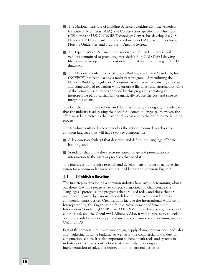- The National Institute of Building Sciences, working with the American Institute of Architects (AIA), the Construction Specifications Institute (CSI), and the U.S. CAD/GIS Technology Center, has developed a U.S. National CAD Standard. The standard includes CAD Layer Guidelines, Plotting Guidelines, and a Uniform Drawing System.
- The OpenDWG™ Alliance is an association of CAD customers and vendors committed to promoting Autodesk's AutoCAD DWG drawing file format as an open, industry-standard format for the exchange of CAD drawings.
- The National Conference of States on Building Codes and Standards, Inc. (NCSBCS) has been leading a multi-year program—Streamlining the Nation's Building Regulatory Process—that is directed at reducing the cost and complexity of regulation while ensuring life safety and affordability. One of the primary issues to be addressed by this program is creating an interoperable platform that will dramatically reduce the cost and time to integrate systems.

The fact that all of these efforts, and doubtless others, are ongoing is evidence that the industry is addressing the need for a common language. However, the effort must be directed to the residential sector and to the entire home building process.

The Roadmap outlined below describes the actions required to achieve a common language that will have two key components:

- $\blacksquare$  A lexicon (vocabulary) that describes and defines the language of home building, and
- Standards that allow the electronic interchange and presentation of information to the users or processes that need it.

The four areas that require research and development in order to achieve the vision for a common language are outlined below and shown in Figure 2.

#### 1.1 Establish a Baseline

The first step in developing a common industry language is determining what is out there. It will be necessary to collect, categorize, and characterize the "languages," protocols, and programs that are used today and those that are under development by various standards bodies involved in residential or commercial construction. Organizations include the International Alliance for Interoperability, the Organization for the Advancement of Structured Information Standards (OASIS), aecXML (XML for architects, engineers, and contractors), and the OpenDWG Alliance. Also, it will be necessary to look at open standards being developed and used by companies or consortiums, such as C-Z and PDX.

Part of this process is to investigate design, supply chain, construction, and sales and marketing in home building, as well as in the commercial and industrial construction sectors. It is also important to benchmark tools and systems in industries other than construction that seamlessly link design and implementation to sales, marketing, and informational activities.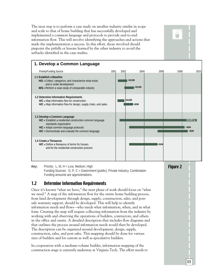The next step is to perform a case study on another industry similar in scope and scale to that of home building that has successfully developed and implemented a common language and protocols to provide end-to-end information flow. This will involve identifying the approaches and actions that made the implementation a success. In this effort, those involved should pinpoint the pitfalls or lessons learned by the other industry to avoid the setbacks identified in the case studies.





**Key:** Priority: L, M, H = Low, Medium, High **Figure 2** Funding Sources:  $G, P, C = G$ overnment (public), Private Industry, Combination Funding amounts are approximations.

#### 1.2 Determine Information Requirements

Once it's known "what we have," the next phase of work should focus on "what we need." A map of the information flow for the entire home building process, from land development through design, supply, construction, sales, and postsale warranty support, should be developed. This will help to identify information needs and flows—who needs what information, when, and in what form. Creating the map will require collecting information from the industry by working with and observing the operations of builders, contractors, and others in the office and onsite. A detailed description that includes flow diagrams and that outlines the process around information needs would then be developed. The description can be organized around development, design, supply, construction, sales, and post sales. This mapping should be done for various sizes of builders and for custom as well as speculative builders.

In cooperation with a medium-volume builder, information mapping of the construction stage is currently underway at Virginia Tech. The effort needs to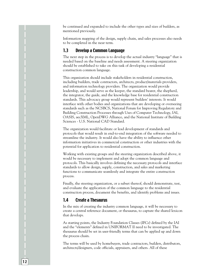be continued and expanded to include the other types and sizes of builders, as mentioned previously.

Information mapping of the design, supply chain, and sales processes also needs to be completed in the near term.

#### 1.3 Develop a Common Language

The next step in the process is to develop the actual industry "language" that is needed based on the baseline and needs assessment. A steering organization should be established to take on this task of developing a residential construction common language.

This organization should include stakeholders in residential construction, including builders, trade contractors, architects, product/materials providers, and information technology providers. The organization would provide leadership, and would serve as the keeper, the standard bearer, the shepherd, the integrator, the guide, and the knowledge base for residential construction standards. This advocacy group would represent builders' interests. It would interface with other bodies and organizations that are developing or overseeing standards such as the NCSBCS, National Forum for Improving Regulatory and Building Construction Processes through Uses of Computer Technology, IAI, OASIS, aecXML, OpenDWG Alliance, and the National Institute of Building Sciences - U.S. National CAD Standard.

The organization would facilitate or lead development of standards and protocols that would result in end-to-end integration of the software needed to streamline the industry. It would also have the ability to influence other information initiatives in commercial construction or other industries with the potential for application to residential construction.

Working with existing groups and the steering organization described above, it would be necessary to implement and adopt the common language and protocols. This basically involves defining the necessary protocols and interface standards to allow design, supply, construction, and sales and marketing functions to communicate seamlessly and integrate the entire construction process.

Finally, the steering organization, or a subset thereof, should demonstrate, test, and evaluate the application of the common language to the residential construction process, document the benefits, and identify problems and issues.

#### 1.4 Create a Thesaurus

 $12$ 

In the mix of creating the industry common language, it will be necessary to create a central reference document, or thesaurus, to capture the shared lexicon that develops.

As starting points, the Industry Foundation Classes (IFCs) defined by the IAI and the "elements" defined in UNIFORMAT II need to be investigated. The thesaurus should be set in user-friendly terms that can be applied up and down the process chain.

The terms will be used by homebuyers, trade contractors, builders, distributors, architects/designers, code officials, appraisers, and others. All of these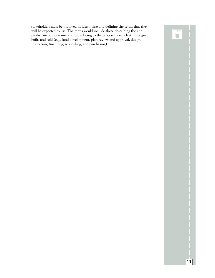stakeholders must be involved in identifying and defining the terms that they will be expected to use. The terms would include those describing the end product—the house—and those relating to the process by which it is designed, built, and sold (e.g., land development, plan review and approval, design, inspection, financing, scheduling, and purchasing).

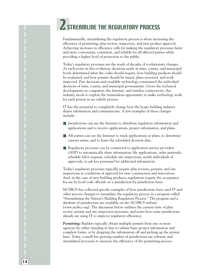# 2 STREAMLINE THE REGULATORY PROCESS

Fundamentally, streamlining the regulatory process is about increasing the efficiency of permitting, plan review, inspection, and new product approval. Achieving increases in efficiency calls for making the regulatory processes faster and more convenient, consistent, and reliable for all affected parties while providing a higher level of protection to the public.

Today's regulatory processes are the result of decades of evolutionary changes. At each point in this evolution, decisions made at state, county, and municipal levels determined what the codes should require, how building products should be evaluated, and how permits should be issued, plans reviewed, and work inspected. Past decisions and available technology constrained the individual decisions of state, county, and municipal governments. Given the technical developments in computers, the Internet, and wireless connectivity, this industry needs to exploit the tremendous opportunity to make technology work for each person in an orderly process.

IT has the potential to completely change how the home building industry shares information and communicates. A few examples of these changes include:

- Jurisdictions can use the Internet to distribute regulatory information and applications and to receive applications, project information, and plans.
- All parties can use the Internet to track applications or plans, to determine current status, and to learn the scheduled decision date.
- Regulatory processes can be connected to application service providers (ASP) to automatically share information, file applications, order materials, schedule labor requests, schedule site inspections, notify individuals of approvals, or ask key personnel for additional information.

Today's regulatory processes typically require plan reviews, permits, and site inspections as conditions of approval for new construction and renovation. And, in the case of new building products, regulations require the acceptance for use by local code officials on a jurisdiction-by-jurisdiction basis.

NCSBCS has collected specific examples of how jurisdictions have used IT and other process changes to streamline the regulatory process in a program called "Streamlining the Nation's Building Regulatory Process." The program and a database of jurisdictions are available on the NCSBCS website (www.ncsbcs.org). The discussion below outlines the current state of plan review, permit and site inspection processes, and notes how some jurisdictions already are using IT to improve regulatory efficiency.

**Permitting:** Builders typically obtain multiple permits from one or more agencies by either standing in line to submit basic project information and complete forms, or by dropping the information off and picking up the permit later. Today, a small but growing number of jurisdictions use software and streamlined processes to increase the efficiency of the permitting process.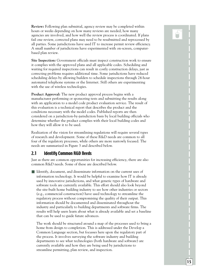**Review:** Following plan submittal, agency review may be completed within hours or weeks depending on how many reviews are needed, how many agencies are involved, and how well the review process is coordinated. If plans fail one review, corrected plans may need to be resubmitted and reprocessed by all parties. Some jurisdictions have used IT to increase permit review efficiency. A small number of jurisdictions have experimented with on-screen, computerbased plan review.

**Site Inspection:** Government officials must inspect construction work to ensure it complies with the approved plans and all applicable codes. Scheduling and waiting for required inspections can result in costly construction delays, just as correcting problems requires additional time. Some jurisdictions have reduced scheduling delays by allowing builders to schedule inspections through 24-hour automated telephone systems or the Internet. Still others are experimenting with the use of wireless technologies.

**Product Approval:** The new product approval process begins with a manufacturer performing or sponsoring tests and submitting the results along with an application to a model code product evaluation service. The result of this evaluation is a technical report that describes the product and the conditions necessary with the model codes. Published reports are then considered on a jurisdiction-by-jurisdiction basis by local building officials who determine whether the product complies with their local building codes and how they will allow it to be used.

Realization of the vision for streamlining regulations will require several types of research and development. Some of these R&D needs are common to all four of the regulatory processes, while others are more narrowly focused. The needs are summarized in Figure 3 and described below.

#### 2.1 Identify Common R&D Needs

Just as there are common opportunities for increasing efficiency, there are also common R&D needs. Some of these are described below.

■ Identify, document, and disseminate information on the current uses of information technology. It would be helpful to examine how IT is already used by innovative jurisdictions, and what generic types of hardware and software tools are currently available. This effort should also look beyond the site-built home building industry to see how other industries or sectors (e.g., commercial construction) have used technology to streamline the regulatory process without compromising the quality of their output. This information should be documented and disseminated throughout the industry and particularly to building departments and software firms. The results will help users learn about what is already available and set a baseline that can be used to guide future advances.

The work should be structured around a map of the processes used to bring a home from design to completion. This is addressed under the Develop a Common Language section, but focusses here upon the regulatory part of the process. It involves surveying the software industry and building departments to see what technologies (both hardware and software) are currently available and how they are being used by jurisdictions to streamline permitting, plan review, and inspection.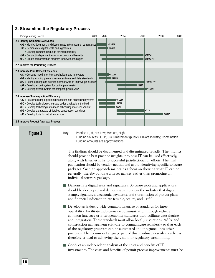

Figure 3

**Key:** Priority: L, M, H = Low, Medium, High

Funding Sources: G, P, C = Government (public), Private Industry, Combination Funding amounts are approximations.

The findings should be documented and disseminated broadly. The findings should provide best practice insights into how IT can be used effectively, along with Internet links to successful jurisdictional IT efforts. The final publication should be vendor-neutral and avoid identifying specific software packages. Such an approach maintains a focus on showing what IT can do generally, thereby building a larger market, rather than promoting an individual software package.

- Demonstrate digital seals and signatures. Software tools and applications should be developed and demonstrated to show the industry that digital stamps, signatures, electronic payments, and transmission of project plans and financial information are feasible, secure, and useful.
- Develop an industry-wide common language or standards for interoperability. Facilitate industry-wide communication through either a common language or interoperability standards that facilitate data sharing and integration. These standards must allow local jurisdictions, ASPs, and construction management software to communicate seamlessly so that each of the regulatory processes can be automated and integrated into other processes. The Common Language part of this Roadmap described earlier is therefore critical to achieving the vision for regulatory streamlining.

 $\blacksquare$  Conduct an independent analysis of the costs and benefits of IT investments. The costs and benefits of permit process improvements must be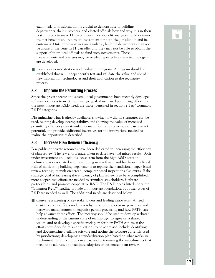examined. This information is crucial to demonstrate to building departments, their customers, and elected officials how and why it is in their best interests to make IT investments. Cost-benefit analyses should examine the net benefits and return on investment for both the jurisdiction and its customers. Until these analyses are available, building departments may not be aware of the benefits IT can offer and they may not be able to obtain the support of their local officials to fund such investments. These measurements and analyses may be needed repeatedly as new technologies are developed.

■ Establish a demonstration and evaluation program. A program should be established that will independently test and validate the value and use of new information technologies and their application to the regulatory process.

#### 2.2 Improve the Permitting Process

Since the private sector and several local governments have recently developed software solutions to meet the strategic goal of increased permitting efficiency, the most important R&D needs are those identified in section 2.1 as "Common R&D" categories.

Disseminating what is already available, showing how digital signatures can be used, helping develop interoperability, and showing the value of increased permitting efficiency can stimulate demand for these services, increase market potential, and provide additional incentives for the innovations needed to realize the opportunities described.

#### 2.3 Increase Plan Review Efficiency

Few public or private resources have been dedicated to increasing the efficiency of plan review. The few efforts undertaken to date have had mixed results. Both under-investment and lack of success stem from the high R&D costs and technical risks associated with developing new software and hardware. Cultural risks of motivating building departments to replace their traditional paper-based review techniques with on-screen, computer based inspections also exists. If the strategic goal of increasing the efficiency of plan review is to be accomplished, more cooperative efforts are needed to stimulate stakeholders, facilitate partnerships, and promote cooperative R&D. The R&D needs listed under the "Common R&D" heading provide an important foundation, but other types of R&D are needed as well. The additional needs are described below.

■ Convene a meeting of key stakeholders and leading innovators. A need exists to discuss efforts undertaken by jurisdictions, software providers, and hardware manufacturers to expedite permit processing and how PATH can help advance these efforts. The meeting should be used to develop a shared understanding of the current state of technology, to agree on a shared vision, and to develop a specific work plan for how PATH can assist the efforts best. Specific tasks or questions to be addressed include identifying and documenting available software and noting the software currently used by jurisdictions; developing a standardization plan based on what works well to eliminate or reduce problem areas; and determining the impediments that need to be addressed to facilitate adoption of automated plan review.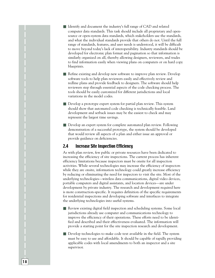- Identify and document the industry's full range of CAD and related computer data standards. This task should include all proprietary and opensource or open-system data standards, which stakeholders use the standards, and what the individual standards provide that others do not. Until the full range of standards, features, and user needs is understood, it will be difficult to move beyond today's lack of interoperability. Industry standards should be developed for electronic plan format and pagination so that information is similarly organized on all, thereby allowing designers, reviewers, and trades to find information easily when viewing plans on computers or on hard copy blueprints.
- Refine existing and develop new software to improve plan review. Develop software tools to help plan reviewers easily and effectively review and redline plans and provide feedback to designers. The software should help reviewers step through essential aspects of the code checking process. The tools should be easily customized for different jurisdictions and local variations in the model codes.
- Develop a prototype expert system for partial plan review. This system should show that automated code checking is technically feasible. Land development and setback issues may be the easiest to check and may represent the largest time savings.
- Develop an expert system for complete automated plan review. Following demonstration of a successful prototype, the system should be developed that would review all aspects of a plan and either issue an approval or provide guidance on deficiencies.

#### 2.4 Increase Site Inspection Efficiency

As with plan review, few public or private resources have been dedicated to increasing the efficiency of site inspections. The current process has inherent efficiency limitations because inspectors must be onsite for all inspection activities. While several technologies may increase the efficiency of inspectors while they are onsite, information technology could greatly increase efficiency by reducing or eliminating the need for inspectors to visit the site. Most of the underlying technologies—wireless data communications, digital video devices, portable computers and digital assistants, and location devices—are under development by private industry. The research and development required here is more construction-specific. It requires definition of the specific requirements for residential inspections and developing software and interfaces to integrate the underlying technologies into useful systems.

- Review existing digital field inspection and scheduling systems. Some local jurisdictions already use computer and communications technology to improve the efficiency of their operations. These efforts need to be identified and described and their effectiveness evaluated. The information will provide a starting point for the site inspection research and development.
- Develop technologies to make code text available in the field. The system must be easy to use and affordable. It should be capable of rapidly providing applicable codes with local amendments to both an inspector and a site supervisor.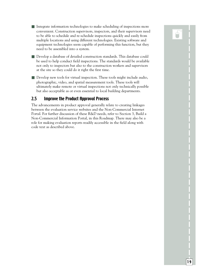- Integrate information technologies to make scheduling of inspections more convenient. Construction supervisors, inspectors, and their supervisors need to be able to schedule and re-schedule inspections quickly and easily from multiple locations and using different technologies. Existing software and equipment technologies seem capable of performing this function, but they need to be assembled into a system.
- Develop a database of detailed construction standards. This database could be used to help conduct field inspections. The standards would be available not only to inspectors but also to the construction workers and supervisors at the site so they could do it right the first time.
- Develop new tools for virtual inspection. These tools might include audio, photographic, video, and spatial measurement tools. These tools will ultimately make remote or virtual inspections not only technically possible but also acceptable as or even essential to local building departments.

#### 2.5 Improve the Product Approval Process

The advancements in product approval generally relate to creating linkages between the evaluation service websites and the Non-Commercial Internet Portal. For further discussion of these R&D needs, refer to Section 3, Build a Non-Commercial Information Portal, in this Roadmap. There may also be a role for making evaluation reports readily accessible in the field along with code text as described above.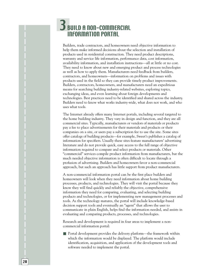# **3** BUILD A NON-COMMERCIAL INFORMATION PORTAL

Builders, trade contractors, and homeowners need objective information to help them make informed decisions about the selection and installation of products used in residential construction. They need product descriptions, warranty and service life information, performance data, cost information, availability information, and installation instructions—all at little or no cost. They need to know about new and emerging product and process technologies as well as how to apply them. Manufacturers need feedback from builders, contractors, and homeowners—information on problems and issues with products used in the field so they can provide timely product improvements. Builders, contractors, homeowners, and manufacturers need an expeditious means for searching building industry-related websites, exploring topics, exchanging ideas, and even learning about foreign developments and technologies. Best practices need to be identified and shared across the industry. Builders need to know what works industry-wide, what does not work, and who uses what tools.

The Internet already offers many Internet portals, including several targeted to the home building industry. They vary in design and function, and they are all commercial sites. Typically, manufacturers or vendors of materials or products pay a fee to place advertisements for their materials and products or their companies on a site, or users pay a subscription fee to use the site. Some sites offer catalogs of building products—for example, Sweet's publishes a catalog of information for specifiers. Usually these sites feature manufacturers' advertising literature and do not provide quick, easy access to the full range of objective information required to compare and select products or materials. Other "commercial" services compile product information from manufacturers, but the much needed objective information is often difficult to locate through a profusion of advertising. Builders and homeowners favor a non-commercial approach, but such an approach has little support from product manufacturers.

A non-commercial information portal can be the first place builders and homeowners will look when they need information about home building processes, products, and technologies. They will visit the portal because they know they will find quickly and reliably the objective, comprehensive information they need for comparing, evaluating, and selecting building products and technologies, or for implementing new management processes and tools. As the technology matures, the portal will include knowledge-based decision support tools and eventually an "agent" that allows the user to communicate in plain English, helps find the information needed, and assists in evaluating and comparing products, processes, and technologies.

Research and development is required in four areas to implement a noncommercial information portal:

■ Portal development provides the delivery platform—the framework within which the information would be displayed. The platform would include identification, acquisition, and application of the development tools and software needed to implement the portal.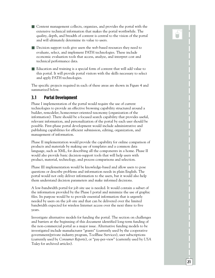- Content management collects, organizes, and provides the portal with the extensive technical information that makes the portal worthwhile. The quality, depth, and breadth of content is central to the vision of the portal and will ultimately determine its value to users.
- Decision support tools give users the web-based resources they need to evaluate, select, and implement PATH technologies. These include economic evaluation tools that access, analyze, and interpret cost and technical performance data.
- Education and training is a special form of content that will add value to this portal. It will provide portal visitors with the skills necessary to select and apply PATH technologies.

The specific projects required in each of these areas are shown in Figure 4 and summarized below.

#### 3.1 Portal Development

Phase I implementation of the portal would require the use of current technologies to provide an effective browsing capability structured around a builder, remodeler, homeowner-oriented taxonomy (organization of the information). There should be a focused search capability that provides useful, relevant information, and personalization of the portal by each user should be possible. First-phase portal development would include administrative and publishing capabilities for efficient submission, editing, organization, and management of information.

Phase II implementation would provide the capability for online comparison of products and materials by making use of templates and a common data language, such as XML, for describing all the components in a home. Phase II would also provide basic decision-support tools that will help users with product, material, technology, and process comparisons and selection.

Phase III implementation would be knowledge-based and allow users to pose questions or describe problems and information needs in plain English. The portal would not only deliver information to the users, but it would also help them understand decision parameters and make informed decisions.

A low-bandwidth portal for job site use is needed. It would contain a subset of the information provided by the Phase I portal and minimize the use of graphic files. Its purpose would be to provide essential information that is urgently needed by users on the job site and that can be delivered over the limited bandwidth expected for wireless Internet access over the next three to five years.

Investigate alternative models for funding the portal. The section on challenges and barriers at the beginning of this document identified long-term funding of the non-commercial portal as a major issue. Alternative funding models to be investigated include manufacturer "grants" (currently used by the cooperative government/private industry program, ToolBase Services), user subscriptions (currently used by *Consumer Reports*), or "pay-per-view" (currently used by *USA Today* for archived articles).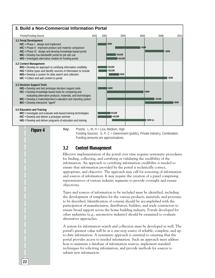

**Key:** Priority: L, M, H = Low, Medium, High Funding Sources: G, P, C = Government (public), Private Industry, Combination Funding amounts are approximations.

#### 3.2 Content Management

Effective implementation of the portal over time requires systematic procedures for finding, collecting, and certifying or validating the credibility of the information. An approach to certifying information credibility is needed to ensure that information provided by the portal is technically correct, appropriate, and objective. The approach may call for screening of information and sources of information. It may require the creation of a panel comprising representatives of various industry segments to provide oversight and ensure objectivity.

Types and sources of information to be included must be identified, including the development of templates for the various products, materials, and processes to be described. Identification of content should be accomplished with the participation of manufacturers, distributors, builders, and trade contractors to ensure broad support across the home building industry. Portals developed for other industries (e.g., automotive industry) should be examined to evaluate alternative approaches.

A system for information search and collection must be developed as well. The portal's greatest value will be as a one-stop source of reliable, complete, and upto-date information. A systematic approach is essential to ensuring that the portal provides access to needed information. Such an approach must address how to maintain a database of information sources, implement standard techniques for soliciting information, and provide methods for sources to submit new information.

Figure 4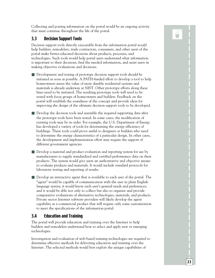Collecting and posting information on the portal would be an ongoing activity that must continue throughout the life of the portal.

#### 3.3 Decision Support Tools

Decision support tools directly executable from the information portal would help builders, remodelers, trade contractors, consumers, and other users of the portal make better-educated decisions about products, processes, and technologies. Such tools would help portal users understand what information is important to their decisions, find the needed information, and assist users in making objective evaluations and decisions.

- Development and testing of prototype decision support tools should be initiated as soon as possible. A PATH-funded effort to develop a tool to help homeowners assess the value of more durable residential systems and materials is already underway at NIST. Other prototype efforts along these lines need to be initiated. The resulting prototype tools will need to be tested with focus groups of homeowners and builders. Feedback on the portal will establish the soundness of the concept and provide ideas for improving the design of the ultimate decision support tools to be developed.
- Develop the decision tools and assemble the required supporting data after the prototype tools have been tested. In some cases, the modification of existing tools may be in order. For example, the U.S. Department of Energy has developed a variety of tools for determining the energy efficiency of buildings. These tools could prove useful to designers or builders who need to determine the energy characteristics of a particular design. In other cases, the development and implementation effort may require the support of different government agencies.
- Develop a material and product evaluation and reporting system for use by manufacturers to supply standardized and certified performance data on their products. The system would give users an authoritative and objective means to evaluate products and materials. It would include standard protocols for laboratory testing and reporting of results.

■ Develop an interactive agent that is available to each user of the portal. The "agent" would be capable of communication with the user in plain English language syntax; it would know each user's general needs and preferences; and it would be able not only to collect but also to organize and provide comparative evaluations of alternative technologies, materials, and products. Private sector Internet software providers will likely develop the agent capability as a commercial product that will require only some customization to meet the specifications of the information portal.

#### 3.4 Education and Training

The portal will provide education and training over the Internet to help builders and remodelers understand how to select and apply new or emerging technologies.

Investigation and evaluation of web-based training technologies are required to determine effective methods for delivering education and training over the Internet. The selected methods would best exploit the unique capabilities of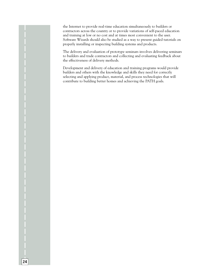the Internet to provide real-time education simultaneously to builders or contractors across the country or to provide variations of self-paced education and training at low or no cost and at times most convenient to the user. Software Wizards should also be studied as a way to present guided tutorials on properly installing or inspecting building systems and products.

The delivery and evaluation of prototype seminars involves delivering seminars to builders and trade contractors and collecting and evaluating feedback about the effectiveness of delivery methods.

Development and delivery of education and training programs would provide builders and others with the knowledge and skills they need for correctly selecting and applying product, material, and process technologies that will contribute to building better homes and achieving the PATH goals.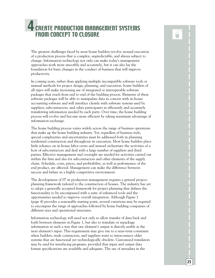# **CREATE PRODUCTION MANAGEMENT SYSTEMS** FROM CONCEPT TO CLOSURE

The greatest challenges faced by most home builders revolve around execution of a production process that is complex, unpredictable, and always subject to change. Information technology not only can make today's management approaches work more smoothly and accurately, but it can also lay the foundation for basic changes in the conduct of business that will improve productivity.

In coming years, rather than applying multiple incompatible software tools or manual methods for project design, planning, and execution, home builders of all types will make increasing use of integrated or interoperable software packages that reach from end to end of the building process. Elements of these software packages will be able to manipulate data in concert with in-house accounting software and will interface cleanly with software systems used by suppliers, subcontractors, and other participants in efficiently and accurately transferring information needed by each party. Over time, the home building process will evolve and become more efficient by taking maximum advantage of information exchange.

The home building process varies widely across the range of business operations that make up the home building industry. Yet, regardless of business style, special complexities and uncertainties must be addressed both in planning residential construction and throughout its execution. Most home builders place little reliance on in-house labor crews and instead orchestrate the activities of a host of subcontractors and deal with a large number of suppliers and third parties. Effective management and oversight are needed for activities carried out within the firm and also for subcontractors and other elements of the supply chain. Schedule, costs, prices, and profitability, as well as performance of the end product, are affected. Management can make the difference between success and failure in a highly competitive environment.

The development of IT in production management requires a general projectplanning framework tailored to the construction of houses. The industry has yet to adopt a generally accepted framework for project planning that defines the functionality to be encompassed with a suite of enhanced tools and the opportunities needed to improve overall integration. Although Figure 1 (page 4) provides a reasonable starting point, several variations may be required to encompass the range of approaches followed by home building companies of different sizes and operational structures.

Information technology will need not only to allow transfer of data back and forth between elements in Figure 1, but also to translate or repackage information in such a way that one element's output is directly usable as the next element's input. This requirement may give rise to a near-term constraint when builders, trade contractors, and suppliers want to interconnect older systems that are functional yet technologically obsolete. Customized translators may be used for interfacing programs, provided that input and output data format specifications are available and adequate. The use of metadata in the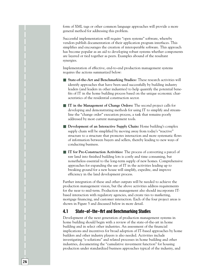form of XML tags or other common language approaches will provide a more general method for addressing this problem.

Successful implementation will require "open systems" software, whereby vendors publish documentation of their application program interfaces. This simplifies and encourages the creation of interoperable software. This approach has become popular as an aid to developing robust systems whether components are layered or tied together as peers. Examples abound of the resultant synergies.

Implementation of effective, end-to-end production management systems requires the actions summarized below:

- State-of-the-Art and Benchmarking Studies: These research activities will identify approaches that have been used successfully by building industry leaders (and leaders in other industries) to help quantify the potential benefits of IT in the home building process based on the unique economic characteristics of the residential construction sector.
- **IT in the Management of Change Orders:** The second project calls for developing and demonstrating methods for using IT to simplify and streamline the "change order" execution process, a task that remains poorly addressed by most current management tools.
- **Development of an Interactive Supply Chain:** Home building's complex supply chain will be simplified by moving away from today's "reactive" structure to a structure that promotes interaction and more systematic flows of information between buyers and sellers, thereby leading to new ways of conducting business.
- **IT for Pre-Construction Activities:** The process of converting a parcel of raw land into finished building lots is costly and time consuming, but nonetheless essential to the long-term supply of new homes. Comprehensive approaches for expanding the use of IT in the activities leading up to breaking ground for a new house will simplify, expedite, and improve efficiency in the land development process.

Further integration of these and other outputs will be needed to achieve the production management vision, but the above activities address requirements for the near to mid-term. Production management also should incorporate ITbased interaction with regulatory agencies, and create ties to marketing, mortgage financing, and customer interaction. Each of the four project areas is shown in Figure 5 and discussed below in more detail.

#### 4.1 State-of-the-Art and Benchmarking Studies

Development of the next generation of production management systems in home building should begin with a review of the state-of-the-art in home building and in select other industries. An assessment of the financial implications and incentives for broad adoption of IT-based approaches by home builders and other industry players is also needed. Activities include investigating "e-solutions" and related processes in home building and other industries, documenting the "cumulative investment function" for housing production under standardized business approaches typical of the industry, and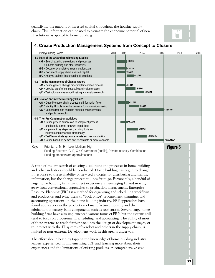quantifying the amount of invested capital throughout the housing supply chain. This information can be used to estimate the economic potential of new IT solutions as applied to home building.





#### **Key:** Priority: L, M, H = Low, Medium, High

Funding Sources: G, P, C = Government (public), Private Industry, Combination Funding amounts are approximations.

A state-of-the-art search of existing e-solutions and processes in home building and other industries should be conducted. Home building has begun to change in response to the availability of new technologies for distributing and sharing information, but the change process still has far to go. Fortunately, a handful of large home building firms has direct experience in leveraging IT and moving away from conventional approaches to production management. Enterprise Resource Planning (ERP) is a method for organizing and scheduling workflows and production and tying them to "back office" procurement, planning, and accounting operations. In the home building industry, ERP approaches have found application in the production of manufactured housing and the fabrication of factory-built components such as roof trusses. Several large home building firms have also implemented various forms of ERP, but the systems still tend to focus on procurement, scheduling, and accounting. The ability of most of these systems to reach further back into the design or development stages, or to interact with the IT systems of vendors and others in the supply chain, is limited or non-existent. Development work in this area is underway.

The effort should begin by tapping the knowledge of home building industry leaders experienced in implementing ERP and learning more about their experiences and the limitations of existing products. A comprehensive case

Figure 5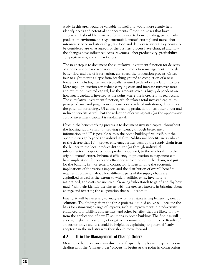study in this area would be valuable in itself and would more clearly help identify needs and potential enhancements. Other industries that have embraced IT should be reviewed for relevance to home building, particularly production environments (e.g., automobile manufacturing) and more laborintensive service industries (e.g., fast food and delivery services). Key points to be considered are what aspects of the business process have changed and how the changes have influenced costs, revenues, labor productivity, profitability, competitiveness, and similar factors.

The next step is to document the cumulative investment function for delivery of a home under basic scenarios. Improved production management, through better flow and use of information, can speed the production process. Often, four to eight months elapse from breaking ground to completion of a new home, not including the years typically required to develop raw land into lots. More rapid production can reduce carrying costs and increase turnover rates and return on invested capital, but the amount saved is highly dependent on how much capital is invested at the point where the increase in speed occurs. The cumulative investment function, which relates total invested capital to passage of time and progress in construction or related milestones, determines the potential for savings. Of course, speeding production offers other direct and indirect benefits as well, but the reduction of carrying costs (or the opportunity cost of investment capital) is fundamental.

Next in the benchmarking process is to document invested capital throughout the housing supply chain. Improving efficiency through better use of information and IT is possible within the home building firm itself, but the opportunities go beyond the individual firm. Additional benefits are available to the degree that IT improves efficiency further back up the supply chain from the builder to the local product distributor (or through individual subcontractors to specialty trade product suppliers), to the wholesaler, to the original manufacturer. Enhanced efficiency in production management can have implications for costs and efficiency at each point in the chain, not just for the building firm or general contractor. Understanding the economic implications of the various impacts and the distribution of overall benefits requires information about how different parts of the supply chain are capitalized as well as the extent to which facilities exist, inventory is maintained, and costs are incurred. Knowing "who stands to gain" and "by how much" will help identify the players with the greatest interest in bringing about change and fostering the cooperation that will hasten it.

Finally, it will be necessary to analyze what is at stake in implementing new IT solutions. The findings from the three projects outlined above will become the basis for estimating a range of impacts, such as improvement in productivity, enhanced profitability, cost savings, and other benefits, that are likely to flow from the application of new IT solutions in home building. The findings will also highlight the possibility of negative economic or other impacts. Results of an authoritative analysis could be helpful in explaining to potential "early adopters" in the industry why they should move forward.

#### 4.2 IT in the Management of Change Orders

Most home builders can claim direct and frequently unpleasant experiences in dealing with the "change order" process. It begins at the point in construction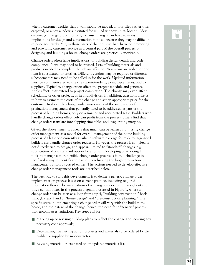when a customer decides that a wall should be moved, a floor tiled rather than carpeted, or a bay window substituted for mulled window units. Most builders discourage change orders not only because changes can have so many implications for design and construction but also because they may be difficult to price accurately. Yet, in those parts of the industry that thrive on promoting and providing customer service as a central part of the overall process of designing and building a house, change orders are practically inevitable.

Change orders often have implications for building design details and code compliance. Plans may need to be revised. Lists of building materials and products needed to complete the job are affected. New items are added, or one item is substituted for another. Different vendors may be required or different subcontractors may need to be called in for the work. Updated information must be communicated to the site superintendent, to multiple trades, and to suppliers. Typically, change orders affect the project schedule and generate ripple effects that extend to project completion. The change may even affect scheduling of other projects, as in a subdivision. In addition, questions arise as to how to estimate the costs of the change and set an appropriate price for the customer. In short, the change order raises many of the same issues of production management that generally need to be addressed as part of the process of building homes, only on a smaller and accelerated scale. Builders who handle change orders effectively can profit from the process; others find that change orders translate into slipping timetables and evaporating margins.

Given the above issues, it appears that much can be learned from using change order management as a model for overall management of the home building process. At least one currently available software package for mid- to large-sized builders can handle change order requests. However, the process is complex, is not directly tied to design, and appears limited to "standard" changes, e.g., substitution of one standard option for another. Developing or adapting IT tools to manage a more flexible change order process is both a challenge in itself and a way to identify approaches to achieving the larger production management vision discussed earlier. The actions needed to develop effective change order management tools are described below.

The best way to start this development is to define a generic change order implementation process based on current practice, including required information flows. The implications of a change order extend throughout the three central boxes in the process diagram presented in Figure 1, where a change order can be seen as a loop from step 4, "building construction," back through steps 2 and 3, "house design" and "pre-construction planning." The specific steps in implementing a change order will vary with the builder, the house, and the nature of the change, hence, the need for a "generic" process that encompasses variations. Key steps call for:

- Marking up or revising building plans to reflect the change and securing any necessary code approvals;
- Determining the net impact on products and materials to be ordered by the builder or supplied by subcontractors;
- Revising material orders based on an updated materials list;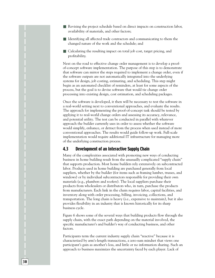- Revising the project schedule based on direct impacts on construction labor, availability of materials, and other factors;
- Identifying all affected trade contractors and communicating to them the changed nature of the work and the schedule; and
- Calculating the resulting impact on total job cost, target pricing, and profitability.

Next on the road to effective change order management is to develop a proofof-concept software implementation. The purpose of this step is to demonstrate that software can mirror the steps required to implement a change order, even if the software outputs are not automatically integrated into the underlying systems for design, job costing, estimating, and scheduling. This step might begin as an automated checklist of reminders, at least for some aspects of the process, but the goal is to devise software that would tie change order processing into existing design, cost estimation, and scheduling packages.

Once the software is developed, it then will be necessary to test the software in a real-world setting next to conventional approaches, and evaluate the results. The approach for implementing the proof-of-concept task should be tested by applying it to real-world change orders and assessing its accuracy, relevance, and potential utility. The test can be conducted in parallel with whatever approach the builder currently uses in order to assess whether the software would simplify, enhance, or detract from the process when used instead of more conventional approaches. The results would guide follow-up work. Full-scale implementation would require additional IT infrastructure for managing more of the underlying construction process.

#### 4.3 Development of an Interactive Supply Chain

Many of the complexities associated with promoting new ways of conducting business in home building result from the unusually complicated "supply chain" that supports production. Most home builders rely extensively on subcontracted labor. Products used in home building are purchased generally from local suppliers, whether by the builder (for items such as framing lumber, trusses, and windows) or by individual subcontractors responsible for providing their own materials (e.g., plumbers and roofers). The local suppliers purchase their products from wholesalers or distributors who, in turn, purchase the products from manufacturers. Each link in the chain requires labor, capital facilities, and inventory along with order processing, billing, invoicing, collections, and transportation. The long chain is heavy (i.e., expensive to maintain), but it also provides flexibility in an industry that is known historically for its sharp business cycle.

Figure 6 shows some of the several ways that building products flow through the supply chain, with the exact path depending on the material involved, the specific manufacturer's and builder's way of conducting business, and other factors.

Participants term the current industry supply chain "reactive" because it is characterized by arm's-length transactions, a zero-sum mindset that views one participant's gain as another's loss, and little or no information sharing. Such an approach to business maximizes the uncertainty faced by each player. Lack of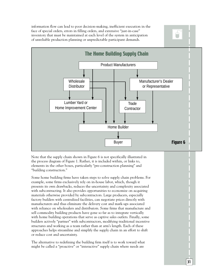information flow can lead to poor decision-making, inefficient execution in the face of special orders, errors in filling orders, and extensive "just-in-case" inventory that must be maintained at each level of the system in anticipation of unreliable production planning or unpredictable participant demands.



Note that the supply chain shown in Figure 6 is not specifically illustrated in the process diagram of Figure 1. Rather, it is included within, or links to, elements in the other boxes, particularly "pre-construction planning" and "building construction."

Some home building firms have taken steps to solve supply chain problems. For example, some firms exclusively rely on in-house labor, which, though it presents its own drawbacks, reduces the uncertainty and complexity associated with subcontracting. It also provides opportunities to economize on acquiring materials otherwise provided by subcontractors. Large producers, especially factory builders with centralized facilities, can negotiate prices directly with manufacturers and thus eliminate the delivery cost and mark-ups associated with reliance on wholesalers and distributors. Some firms that manufacture and sell commodity building products have gone so far as to integrate vertically with home building operations that serve as captive sales outlets. Finally, some builders actively "partner" with subcontractors, modifying traditional incentive structures and working as a team rather than at arm's length. Each of these approaches helps streamline and simplify the supply chain in an effort to shift or reduce cost and uncertainty.

The alternative to redefining the building firm itself is to work toward what might be called a "proactive" or "interactive" supply chain where needs are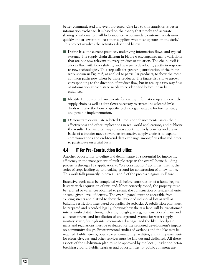better communicated and even projected. One key to this transition is better information exchange. It is based on the theory that timely and accurate sharing of information will help suppliers accommodate customer needs more quickly and at lower total cost than suppliers who must operate "in the dark." This project involves the activities described below.

- Define baseline current practices, underlying information flows, and typical systems. The supply chain diagram in Figure 6 encompasses many variations that are not now relevant to every product or situation. The chain itself is also in flux, with flows shifting and new paths developing partly in response to new technologies. This step calls for greater quantification of the framework shown in Figure 6, as applied to particular products, to show the most common paths now taken by those products. The figure also shows arrows corresponding to the direction of product flow, but in reality a two-way flow of information at each stage needs to be identified before it can be enhanced.
- Identify IT tools or enhancements for sharing information up and down the supply chain as well as data flows necessary to streamline selected links. Tools will take the form of specific technologies suitable for further study and possible implementation.
- Demonstrate or evaluate selected IT tools or enhancements, assess their effectiveness and other implications in real-world applications, and publicize the results. The simplest way to learn about the likely benefits and drawbacks of a broader move toward an interactive supply chain is to expand communications and end-to-end data exchange among firms that volunteer to participate on a trial basis.

#### 4.4 IT for Pre-Construction Activities

Another opportunity to define and demonstrate IT's potential for improving efficiency in the management of multiple steps in the overall home building process is through IT's application to "pre-construction" activities, that is, the series of steps leading up to breaking ground for construction of a new home. This work falls primarily in boxes 1 and 2 of the process diagram in Figure 1.

Extensive work must be completed well before construction of a home begins. It starts with acquisition of raw land. If not correctly zoned, the property must be rezoned or variances obtained to permit the construction of residential units at some given level of density. The overall parcel must be accessible from existing streets and platted to show the layout of individual lots as well as building restriction lines based on applicable setbacks. A subdivision plan must be prepared and recorded legally, showing how the raw land will be transformed into a finished state through clearing, rough grading, construction of main and collector streets, and installation of underground systems for water supply, sanitary sewer, fire hydrants, stormwater drainage, and the like. Floodplain maps and regulations must be evaluated for the proposed development's impact on community design. Environmental studies of wetlands and the like may be required. Public streets, open spaces, community facilities, and utility easements for electricity, gas, and other services must be laid out and dedicated. All these aspects of the subdivision plan must be approved by the local jurisdiction before breaking ground. Public hearings and opportunities for public comment are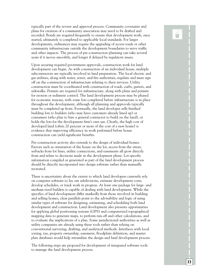typically part of the review and approval process. Community covenants and plans for creation of a community association may need to be drafted and recorded. Bonds are required frequently to ensure that development work, once started, ultimately is completed to applicable local standards. For larger developments, ordinances may require the upgrading of access roads or other community infrastructure outside the development boundaries to serve traffic and other impacts. The process of pre-construction planning can take several years if it moves smoothly, and longer if delayed by regulatory issues.

Upon securing required government approvals, construction work for land development can begin. As with construction of an individual house, multiple subcontractors are typically involved in land preparation. The local electric and gas utilities, along with water, sewer, and fire authorities, regulate and must sign off on the construction of infrastructure relating to their services. Utility construction must be coordinated with construction of roads, curbs, gutters, and sidewalks. Permits are required for infrastructure, along with plans and permits for erosion or sediment control. The land development process may be phased for economic reasons, with some lots completed before infrastructure is in place throughout the development, although all planning and approvals typically must be completed up front. Eventually, the land developer sells finished building lots to builders (who may have customers already lined up) or consumers (who plan to hire a general contractor to build on the land), or holds the lots for the development firm's own use. Clearly, the high cost of developed land (often 20 percent or more of the cost of a new home) is evidence that improving efficiency in work performed before house construction can yield significant benefits.

Pre-construction activity also extends to the design of individual homes. Factors such as orientation of the house on the lot, access from the street, setbacks from lot lines, utility connections, and easements all grow directly from and relate to decisions made in the development phase. Lot-specific information compiled or generated as part of the land development process should be directly incorporated into design software rather than manually recreated.

There is uncertainty about the extent to which land developers currently rely on computer software to lay out subdivisions, estimate development costs, develop schedules, or track work in progress. At least one package for large- and medium-sized builders is capable of dealing with land development. While the specifics of land development differ markedly from those involved in building and selling homes, clear parallels point to the advisability and logic of using similar types of software for designing, estimating, and scheduling both land development and construction. Land development also presents opportunities for applying global positioning systems (GPS) and computerized topographical mapping data to generate maps, to perform run-off and other calculations, and to evaluate the implications of a plan. Some jurisdictional authorities as well as utility companies are already using these tools rather than relying on conventional surveying, drafting, and analytical methods. Interfaces with local zoning, tax, property ownership, easement, floodplain definition, and master plan databases would help streamline the design and land development process.

The following steps are proposed for development of integrated software tools to manage the land development process.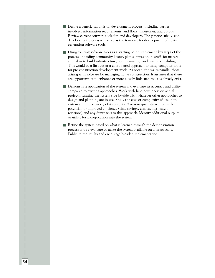- Define a generic subdivision development process, including parties involved, information requirements, and flows, milestones, and outputs. Review current software tools for land developers. The generic subdivision development process will serve as the template for development of nextgeneration software tools.
- Using existing software tools as a starting point, implement key steps of the process, including community layout, plan submission, takeoffs for material and labor to build infrastructure, cost estimating, and master scheduling. This would be a first cut at a coordinated approach to using computer tools for pre-construction development work. As noted, the issues parallel those arising with software for managing home construction. It assumes that there are opportunities to enhance or more closely link such tools as already exist.
- Demonstrate application of the system and evaluate its accuracy and utility compared to existing approaches. Work with land developers on actual projects, running the system side-by-side with whatever other approaches to design and planning are in use. Study the ease or complexity of use of the system and the accuracy of its outputs. Assess in quantitative terms the potential for improved efficiency (time savings, cost savings, ease of revisions) and any drawbacks to this approach. Identify additional outputs or utility for incorporation into the system.
- Refine the system based on what is learned through the demonstration process and re-evaluate or make the system available on a larger scale. Publicize the results and encourage broader implementation.